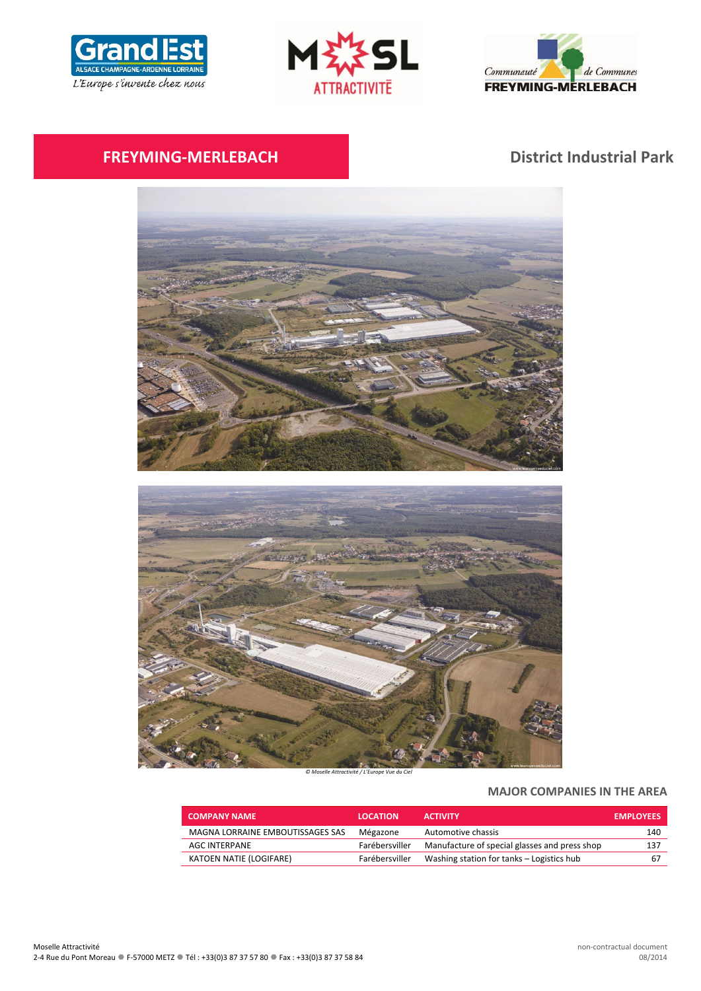





# **FREYMING‐MERLEBACH District Industrial Park**



*© Moselle Attractivité / L'Europe Vue du Ciel*

# **MAJOR COMPANIES IN THE AREA**

| <b>COMPANY NAME</b>              | <b>LOCATION</b> | <b>ACTIVITY</b>                               | <b>EMPLOYEES</b> |
|----------------------------------|-----------------|-----------------------------------------------|------------------|
| MAGNA LORRAINE EMBOUTISSAGES SAS | Mégazone        | Automotive chassis                            | 140              |
| AGC INTERPANE                    | Farébersviller  | Manufacture of special glasses and press shop | 137              |
| KATOEN NATIE (LOGIFARE)          | Farébersviller  | Washing station for tanks - Logistics hub     | 67               |